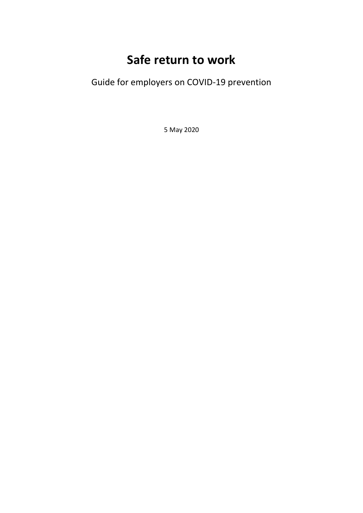# **Safe return to work**

Guide for employers on COVID-19 prevention

5 May 2020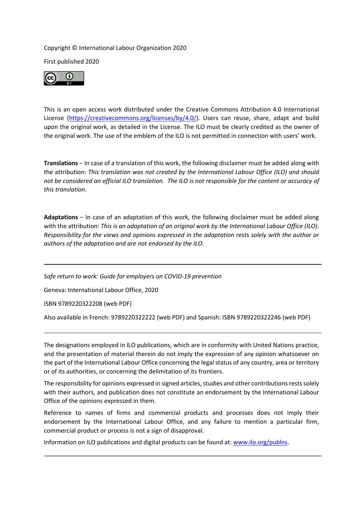#### Copyright © International Labour Organization 2020

First published 2020



This is an open access work distributed under the Creative Commons Attribution 4.0 International License [\(https://creativecommons.org/licenses/by/4.0/\)](https://creativecommons.org/licenses/by/4.0/). Users can reuse, share, adapt and build upon the original work, as detailed in the License. The ILO must be clearly credited as the owner of the original work. The use of the emblem of the ILO is not permitted in connection with users' work.

**Translations** – In case of a translation of this work, the following disclaimer must be added along with the attribution: *This translation was not created by the International Labour Office (ILO) and should not be considered an official ILO translation. The ILO is not responsible for the content or accuracy of this translation*.

**Adaptations** – In case of an adaptation of this work, the following disclaimer must be added along with the attribution: *This is an adaptation of an original work by the International Labour Office (ILO). Responsibility for the views and opinions expressed in the adaptation rests solely with the author or authors of the adaptation and are not endorsed by the ILO.* 

*Safe return to work: Guide for employers on COVID-19 prevention* 

Geneva: International Labour Office, 2020

ISBN 9789220322208 (web PDF)

Also available in French: 9789220322222 (web PDF) and Spanish: ISBN 9789220322246 (web PDF)

The designations employed in ILO publications, which are in conformity with United Nations practice, and the presentation of material therein do not imply the expression of any opinion whatsoever on the part of the International Labour Office concerning the legal status of any country, area or territory or of its authorities, or concerning the delimitation of its frontiers.

The responsibility for opinions expressed in signed articles, studies and other contributions rests solely with their authors, and publication does not constitute an endorsement by the International Labour Office of the opinions expressed in them.

Reference to names of firms and commercial products and processes does not imply their endorsement by the International Labour Office, and any failure to mention a particular firm, commercial product or process is not a sign of disapproval.

Information on ILO publications and digital products can be found at[: www.ilo.org/publns.](http://www.ilo.org/publns)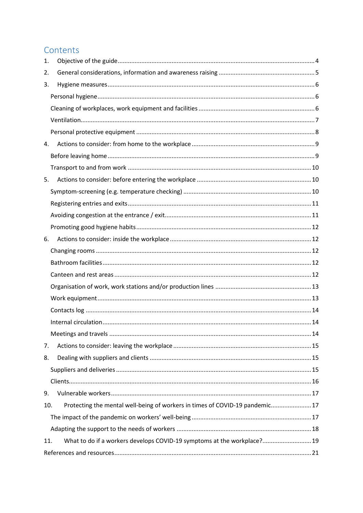# Contents

| 1.  |                                                                              |  |
|-----|------------------------------------------------------------------------------|--|
| 2.  |                                                                              |  |
| 3.  |                                                                              |  |
|     |                                                                              |  |
|     |                                                                              |  |
|     |                                                                              |  |
|     |                                                                              |  |
| 4.  |                                                                              |  |
|     |                                                                              |  |
|     |                                                                              |  |
| 5.  |                                                                              |  |
|     |                                                                              |  |
|     |                                                                              |  |
|     |                                                                              |  |
|     |                                                                              |  |
| 6.  |                                                                              |  |
|     |                                                                              |  |
|     |                                                                              |  |
|     |                                                                              |  |
|     |                                                                              |  |
|     |                                                                              |  |
|     |                                                                              |  |
|     |                                                                              |  |
|     |                                                                              |  |
| 7.  |                                                                              |  |
| 8.  |                                                                              |  |
|     |                                                                              |  |
|     |                                                                              |  |
| 9.  |                                                                              |  |
| 10. | Protecting the mental well-being of workers in times of COVID-19 pandemic 17 |  |
|     |                                                                              |  |
|     |                                                                              |  |
| 11. | What to do if a workers develops COVID-19 symptoms at the workplace? 19      |  |
|     |                                                                              |  |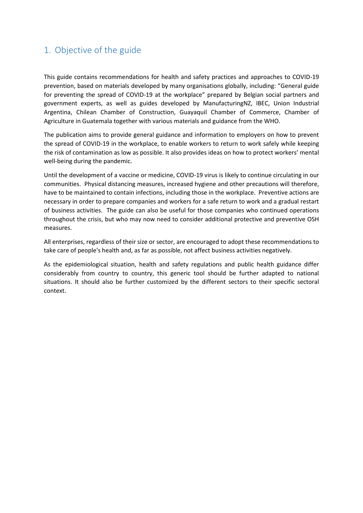# <span id="page-3-0"></span>1. Objective of the guide

This guide contains recommendations for health and safety practices and approaches to COVID-19 prevention, based on materials developed by many organisations globally, including: "General guide for preventing the spread of COVID-19 at the workplace" prepared by Belgian social partners and government experts, as well as guides developed by ManufacturingNZ, IBEC, Union Industrial Argentina, Chilean Chamber of Construction, Guayaquil Chamber of Commerce, Chamber of Agriculture in Guatemala together with various materials and guidance from the WHO.

The publication aims to provide general guidance and information to employers on how to prevent the spread of COVID-19 in the workplace, to enable workers to return to work safely while keeping the risk of contamination as low as possible. It also provides ideas on how to protect workers' mental well-being during the pandemic.

Until the development of a vaccine or medicine, COVID-19 virus is likely to continue circulating in our communities. Physical distancing measures, increased hygiene and other precautions will therefore, have to be maintained to contain infections, including those in the workplace. Preventive actions are necessary in order to prepare companies and workers for a safe return to work and a gradual restart of business activities. The guide can also be useful for those companies who continued operations throughout the crisis, but who may now need to consider additional protective and preventive OSH measures.

All enterprises, regardless of their size or sector, are encouraged to adopt these recommendations to take care of people's health and, as far as possible, not affect business activities negatively.

As the epidemiological situation, health and safety regulations and public health guidance differ considerably from country to country, this generic tool should be further adapted to national situations. It should also be further customized by the different sectors to their specific sectoral context.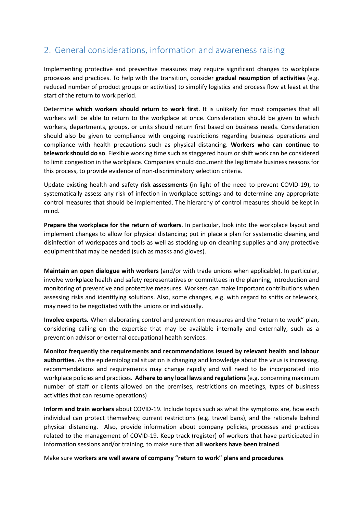# <span id="page-4-0"></span>2. General considerations, information and awareness raising

Implementing protective and preventive measures may require significant changes to workplace processes and practices. To help with the transition, consider **gradual resumption of activities** (e.g. reduced number of product groups or activities) to simplify logistics and process flow at least at the start of the return to work period.

Determine **which workers should return to work first**. It is unlikely for most companies that all workers will be able to return to the workplace at once. Consideration should be given to which workers, departments, groups, or units should return first based on business needs. Consideration should also be given to compliance with ongoing restrictions regarding business operations and compliance with health precautions such as physical distancing. **Workers who can continue to telework should do so**. Flexible working time such as staggered hours or shift work can be considered to limit congestion in the workplace. Companies should document the legitimate business reasons for this process, to provide evidence of non-discriminatory selection criteria.

Update existing health and safety **risk assessments (**in light of the need to prevent COVID-19), to systematically assess any risk of infection in workplace settings and to determine any appropriate control measures that should be implemented. The hierarchy of control measures should be kept in mind.

**Prepare the workplace for the return of workers**. In particular, look into the workplace layout and implement changes to allow for physical distancing; put in place a plan for systematic cleaning and disinfection of workspaces and tools as well as stocking up on cleaning supplies and any protective equipment that may be needed (such as masks and gloves).

**Maintain an open dialogue with workers** (and/or with trade unions when applicable). In particular, involve workplace health and safety representatives or committees in the planning, introduction and monitoring of preventive and protective measures. Workers can make important contributions when assessing risks and identifying solutions. Also, some changes, e.g. with regard to shifts or telework, may need to be negotiated with the unions or individually.

**Involve experts.** When elaborating control and prevention measures and the "return to work" plan, considering calling on the expertise that may be available internally and externally, such as a prevention advisor or external occupational health services.

**Monitor frequently the requirements and recommendations issued by relevant health and labour authorities**. As the epidemiological situation is changing and knowledge about the virus is increasing, recommendations and requirements may change rapidly and will need to be incorporated into workplace policies and practices. **Adhere to any local laws and regulations**(e.g. concerning maximum number of staff or clients allowed on the premises, restrictions on meetings, types of business activities that can resume operations)

**Inform and train workers** about COVID-19. Include topics such as what the symptoms are, how each individual can protect themselves; current restrictions (e.g. travel bans), and the rationale behind physical distancing. Also, provide information about company policies, processes and practices related to the management of COVID-19. Keep track (register) of workers that have participated in information sessions and/or training, to make sure that **all workers have been trained**.

Make sure **workers are well aware of company "return to work" plans and procedures**.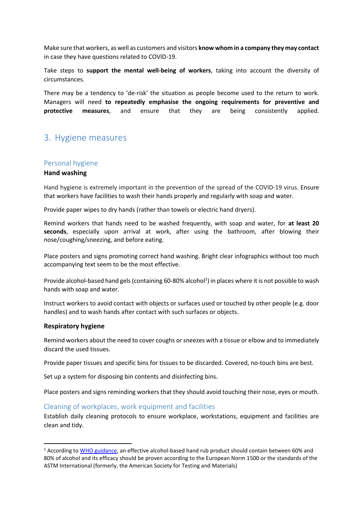Make sure that workers, as well as customers and visitors **know whom in a company they may contact** in case they have questions related to COVID-19.

Take steps to **support the mental well-being of workers**, taking into account the diversity of circumstances.

There may be a tendency to 'de-risk' the situation as people become used to the return to work. Managers will need **to repeatedly emphasise the ongoing requirements for preventive and protective measures**, and ensure that they are being consistently applied.

# <span id="page-5-0"></span>3. Hygiene measures

#### <span id="page-5-1"></span>Personal hygiene

#### **Hand washing**

Hand hygiene is extremely important in the prevention of the spread of the COVID-19 virus. Ensure that workers have facilities to wash their hands properly and regularly with soap and water.

Provide paper wipes to dry hands (rather than towels or electric hand dryers).

Remind workers that hands need to be washed frequently, with soap and water, for **at least 20 seconds**, especially upon arrival at work, after using the bathroom, after blowing their nose/coughing/sneezing, and before eating.

Place posters and signs promoting correct hand washing. Bright clear infographics without too much accompanying text seem to be the most effective.

Provide alcohol-based hand gels (containing 60-80% alcohol<sup>1</sup>) in places where it is not possible to wash hands with soap and water.

Instruct workers to avoid contact with objects or surfaces used or touched by other people (e.g. door handles) and to wash hands after contact with such surfaces or objects.

#### **Respiratory hygiene**

**.** 

Remind workers about the need to cover coughs or sneezes with a tissue or elbow and to immediately discard the used tissues.

Provide paper tissues and specific bins for tissues to be discarded. Covered, no-touch bins are best.

Set up a system for disposing bin contents and disinfecting bins.

Place posters and signs reminding workers that they should avoid touching their nose, eyes or mouth.

### <span id="page-5-2"></span>Cleaning of workplaces, work equipment and facilities

Establish daily cleaning protocols to ensure workplace, workstations, equipment and facilities are clean and tidy.

<sup>1</sup> According to [WHO guidance,](https://www.who.int/who-documents-detail/interim-recommendations-on-obligatory-hand-hygiene-against-transmission-of-covid-19) an effective alcohol-based hand rub product should contain between 60% and 80% of alcohol and its efficacy should be proven according to the European Norm 1500 or the standards of the ASTM International (formerly, the American Society for Testing and Materials)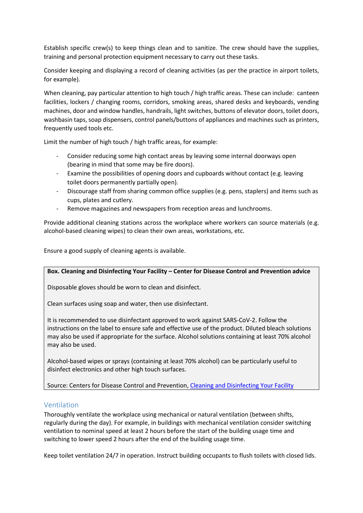Establish specific crew(s) to keep things clean and to sanitize. The crew should have the supplies, training and personal protection equipment necessary to carry out these tasks.

Consider keeping and displaying a record of cleaning activities (as per the practice in airport toilets, for example).

When cleaning, pay particular attention to high touch / high traffic areas. These can include: canteen facilities, lockers / changing rooms, corridors, smoking areas, shared desks and keyboards, vending machines, door and window handles, handrails, light switches, buttons of elevator doors, toilet doors, washbasin taps, soap dispensers, control panels/buttons of appliances and machines such as printers, frequently used tools etc.

Limit the number of high touch / high traffic areas, for example:

- Consider reducing some high contact areas by leaving some internal doorways open (bearing in mind that some may be fire doors).
- Examine the possibilities of opening doors and cupboards without contact (e.g. leaving toilet doors permanently partially open).
- Discourage staff from sharing common office supplies (e.g. pens, staplers) and items such as cups, plates and cutlery.
- Remove magazines and newspapers from reception areas and lunchrooms.

Provide additional cleaning stations across the workplace where workers can source materials (e.g. alcohol-based cleaning wipes) to clean their own areas, workstations, etc.

Ensure a good supply of cleaning agents is available.

#### **Box. Cleaning and Disinfecting Your Facility – Center for Disease Control and Prevention advice**

Disposable gloves should be worn to clean and disinfect.

Clean surfaces using soap and water, then use disinfectant.

It is recommended to use disinfectant approved to work against SARS-CoV-2. Follow the instructions on the label to ensure safe and effective use of the product. Diluted bleach solutions may also be used if appropriate for the surface. Alcohol solutions containing at least 70% alcohol may also be used.

Alcohol-based wipes or sprays (containing at least 70% alcohol) can be particularly useful to disinfect electronics and other high touch surfaces.

Source: Centers for Disease Control and Prevention, [Cleaning and Disinfecting Your Facility](https://www.cdc.gov/coronavirus/2019-ncov/community/disinfecting-building-facility.html)

# <span id="page-6-0"></span>Ventilation

Thoroughly ventilate the workplace using mechanical or natural ventilation (between shifts, regularly during the day). For example, in buildings with mechanical ventilation consider switching ventilation to nominal speed at least 2 hours before the start of the building usage time and switching to lower speed 2 hours after the end of the building usage time.

Keep toilet ventilation 24/7 in operation. Instruct building occupants to flush toilets with closed lids.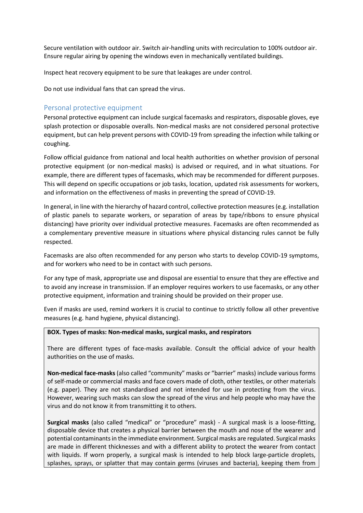Secure ventilation with outdoor air. Switch air-handling units with recirculation to 100% outdoor air. Ensure regular airing by opening the windows even in mechanically ventilated buildings.

Inspect heat recovery equipment to be sure that leakages are under control.

Do not use individual fans that can spread the virus.

### <span id="page-7-0"></span>Personal protective equipment

Personal protective equipment can include surgical facemasks and respirators, disposable gloves, eye splash protection or disposable overalls. Non-medical masks are not considered personal protective equipment, but can help prevent persons with COVID-19 from spreading the infection while talking or coughing.

Follow official guidance from national and local health authorities on whether provision of personal protective equipment (or non-medical masks) is advised or required, and in what situations. For example, there are different types of facemasks, which may be recommended for different purposes. This will depend on specific occupations or job tasks, location, updated risk assessments for workers, and information on the effectiveness of masks in preventing the spread of COVID-19.

In general, in line with the hierarchy of hazard control, collective protection measures (e.g. installation of plastic panels to separate workers, or separation of areas by tape/ribbons to ensure physical distancing) have priority over individual protective measures. Facemasks are often recommended as a complementary preventive measure in situations where physical distancing rules cannot be fully respected.

Facemasks are also often recommended for any person who starts to develop COVID-19 symptoms, and for workers who need to be in contact with such persons.

For any type of mask, appropriate use and disposal are essential to ensure that they are effective and to avoid any increase in transmission. If an employer requires workers to use facemasks, or any other protective equipment, information and training should be provided on their proper use.

Even if masks are used, remind workers it is crucial to continue to strictly follow all other preventive measures (e.g. hand hygiene, physical distancing).

#### **BOX. Types of masks: Non-medical masks, surgical masks, and respirators**

There are different types of face-masks available. Consult the official advice of your health authorities on the use of masks.

**Non-medical face-masks**(also called "community" masks or "barrier" masks) include various forms of self-made or commercial masks and face covers made of cloth, other textiles, or other materials (e.g. paper). They are not standardised and not intended for use in protecting from the virus. However, wearing such masks can slow the spread of the virus and help people who may have the virus and do not know it from transmitting it to others.

**Surgical masks** (also called "medical" or "procedure" mask) - A surgical mask is a loose-fitting, disposable device that creates a physical barrier between the mouth and nose of the wearer and potential contaminants in the immediate environment. Surgical masks are regulated. Surgical masks are made in different thicknesses and with a different ability to protect the wearer from contact with liquids. If worn properly, a surgical mask is intended to help block large-particle droplets, splashes, sprays, or splatter that may contain germs (viruses and bacteria), keeping them from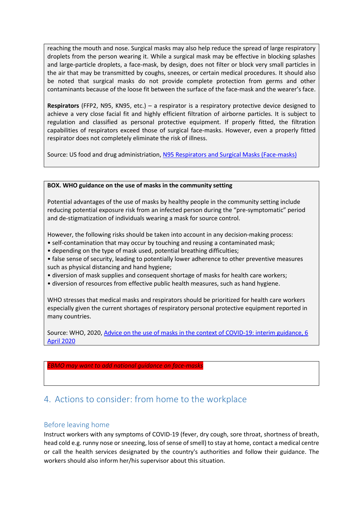reaching the mouth and nose. Surgical masks may also help reduce the spread of large respiratory droplets from the person wearing it. While a surgical mask may be effective in blocking splashes and large-particle droplets, a face-mask, by design, does not filter or block very small particles in the air that may be transmitted by coughs, sneezes, or certain medical procedures. It should also be noted that surgical masks do not provide complete protection from germs and other contaminants because of the loose fit between the surface of the face-mask and the wearer's face.

**Respirators** (FFP2, N95, KN95, etc.) – a respirator is a respiratory protective device designed to achieve a very close facial fit and highly efficient filtration of airborne particles. It is subject to regulation and classified as personal protective equipment. If properly fitted, the filtration capabilities of respirators exceed those of surgical face-masks. However, even a properly fitted respirator does not completely eliminate the risk of illness.

Source: US food and drug administriation, [N95 Respirators and Surgical Masks \(Face-masks\)](https://www.fda.gov/medical-devices/personal-protective-equipment-infection-control/n95-respirators-and-surgical-masks-face-masks)

#### **BOX. WHO guidance on the use of masks in the community setting**

Potential advantages of the use of masks by healthy people in the community setting include reducing potential exposure risk from an infected person during the "pre-symptomatic" period and de-stigmatization of individuals wearing a mask for source control.

However, the following risks should be taken into account in any decision-making process:

- self-contamination that may occur by touching and reusing a contaminated mask;
- depending on the type of mask used, potential breathing difficulties;

• false sense of security, leading to potentially lower adherence to other preventive measures such as physical distancing and hand hygiene;

- diversion of mask supplies and consequent shortage of masks for health care workers;
- diversion of resources from effective public health measures, such as hand hygiene.

WHO stresses that medical masks and respirators should be prioritized for health care workers especially given the current shortages of respiratory personal protective equipment reported in many countries.

Source: WHO, 2020, [Advice on the use of masks in the context of COVID-19: interim guidance, 6](https://apps.who.int/iris/handle/10665/331693)  [April 2020](https://apps.who.int/iris/handle/10665/331693)

#### *EBMO may want to add national guidance on face-masks*

# <span id="page-8-0"></span>4. Actions to consider: from home to the workplace

#### <span id="page-8-1"></span>Before leaving home

Instruct workers with any symptoms of COVID-19 (fever, dry cough, sore throat, shortness of breath, head cold e.g. runny nose or sneezing, loss of sense of smell) to stay at home, contact a medical centre or call the health services designated by the country's authorities and follow their guidance. The workers should also inform her/his supervisor about this situation.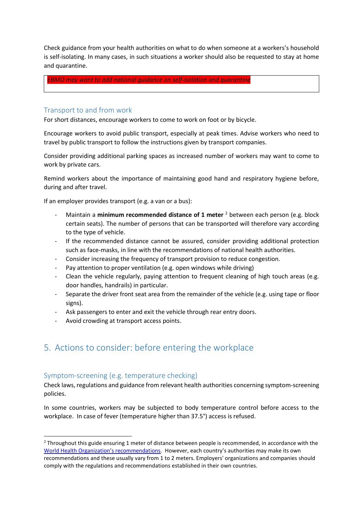Check guidance from your health authorities on what to do when someone at a workers's household is self-isolating. In many cases, in such situations a worker should also be requested to stay at home and quarantine.

*EBMO may want to add national guidance on self-isolation and quarantine*

### <span id="page-9-0"></span>Transport to and from work

For short distances, encourage workers to come to work on foot or by bicycle.

Encourage workers to avoid public transport, especially at peak times. Advise workers who need to travel by public transport to follow the instructions given by transport companies.

Consider providing additional parking spaces as increased number of workers may want to come to work by private cars.

Remind workers about the importance of maintaining good hand and respiratory hygiene before, during and after travel.

If an employer provides transport (e.g. a van or a bus):

- Maintain a **minimum recommended distance of 1 meter** <sup>2</sup> between each person (e.g. block certain seats). The number of persons that can be transported will therefore vary according to the type of vehicle.
- If the recommended distance cannot be assured, consider providing additional protection such as face-masks, in line with the recommendations of national health authorities.
- Consider increasing the frequency of transport provision to reduce congestion.
- Pay attention to proper ventilation (e.g. open windows while driving)
- Clean the vehicle regularly, paying attention to frequent cleaning of high touch areas (e.g. door handles, handrails) in particular.
- Separate the driver front seat area from the remainder of the vehicle (e.g. using tape or floor signs).
- Ask passengers to enter and exit the vehicle through rear entry doors.
- Avoid crowding at transport access points.

# <span id="page-9-1"></span>5. Actions to consider: before entering the workplace

### <span id="page-9-2"></span>Symptom-screening (e.g. temperature checking)

1

Check laws, regulations and guidance from relevant health authorities concerning symptom-screening policies.

In some countries, workers may be subjected to body temperature control before access to the workplace. In case of fever (temperature higher than 37.5°) access is refused.

 $2$  Throughout this guide ensuring 1 meter of distance between people is recommended, in accordance with the [World Health Organization's recommendations](https://www.who.int/emergencies/diseases/novel-coronavirus-2019/advice-for-public). However, each country's authorities may make its own recommendations and these usually vary from 1 to 2 meters. Employers' organizations and companies should comply with the regulations and recommendations established in their own countries.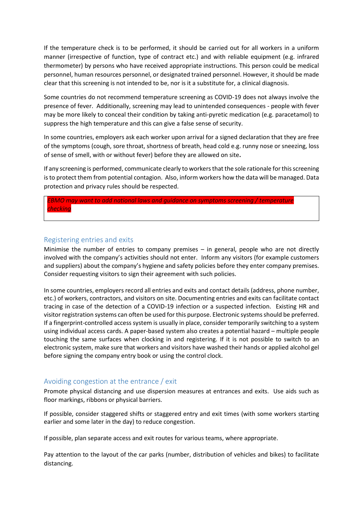If the temperature check is to be performed, it should be carried out for all workers in a uniform manner (irrespective of function, type of contract etc.) and with reliable equipment (e.g. infrared thermometer) by persons who have received appropriate instructions. This person could be medical personnel, human resources personnel, or designated trained personnel. However, it should be made clear that this screening is not intended to be, nor is it a substitute for, a clinical diagnosis.

Some countries do not recommend temperature screening as COVID-19 does not always involve the presence of fever. Additionally, screening may lead to unintended consequences - people with fever may be more likely to conceal their condition by taking anti-pyretic medication (e.g. paracetamol) to suppress the high temperature and this can give a false sense of security.

In some countries, employers ask each worker upon arrival for a signed declaration that they are free of the symptoms (cough, sore throat, shortness of breath, head cold e.g. runny nose or sneezing, loss of sense of smell, with or without fever) before they are allowed on site**.**

If any screening is performed, communicate clearly to workersthat the sole rationale forthis screening is to protect them from potential contagion. Also, inform workers how the data will be managed. Data protection and privacy rules should be respected.

*EBMO may want to add national laws and guidance on symptoms screening / temperature checking*

### <span id="page-10-0"></span>Registering entries and exits

Minimise the number of entries to company premises – in general, people who are not directly involved with the company's activities should not enter. Inform any visitors (for example customers and suppliers) about the company's hygiene and safety policies before they enter company premises. Consider requesting visitors to sign their agreement with such policies.

In some countries, employers record all entries and exits and contact details (address, phone number, etc.) of workers, contractors, and visitors on site. Documenting entries and exits can facilitate contact tracing in case of the detection of a COVID-19 infection or a suspected infection. Existing HR and visitor registration systems can often be used for this purpose. Electronic systems should be preferred. If a fingerprint-controlled access system is usually in place, consider temporarily switching to a system using individual access cards. A paper-based system also creates a potential hazard – multiple people touching the same surfaces when clocking in and registering. If it is not possible to switch to an electronic system, make sure that workers and visitors have washed their hands or applied alcohol gel before signing the company entry book or using the control clock.

#### <span id="page-10-1"></span>Avoiding congestion at the entrance / exit

Promote physical distancing and use dispersion measures at entrances and exits. Use aids such as floor markings, ribbons or physical barriers.

If possible, consider staggered shifts or staggered entry and exit times (with some workers starting earlier and some later in the day) to reduce congestion.

If possible, plan separate access and exit routes for various teams, where appropriate.

Pay attention to the layout of the car parks (number, distribution of vehicles and bikes) to facilitate distancing.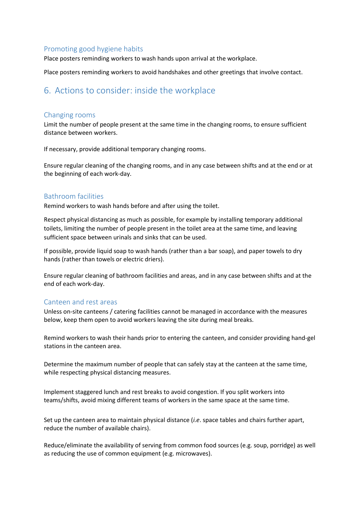### <span id="page-11-0"></span>Promoting good hygiene habits

Place posters reminding workers to wash hands upon arrival at the workplace.

Place posters reminding workers to avoid handshakes and other greetings that involve contact.

# <span id="page-11-1"></span>6. Actions to consider: inside the workplace

#### <span id="page-11-2"></span>Changing rooms

Limit the number of people present at the same time in the changing rooms, to ensure sufficient distance between workers.

If necessary, provide additional temporary changing rooms.

Ensure regular cleaning of the changing rooms, and in any case between shifts and at the end or at the beginning of each work-day.

### <span id="page-11-3"></span>Bathroom facilities

Remind workers to wash hands before and after using the toilet.

Respect physical distancing as much as possible, for example by installing temporary additional toilets, limiting the number of people present in the toilet area at the same time, and leaving sufficient space between urinals and sinks that can be used.

If possible, provide liquid soap to wash hands (rather than a bar soap), and paper towels to dry hands (rather than towels or electric driers).

Ensure regular cleaning of bathroom facilities and areas, and in any case between shifts and at the end of each work-day.

#### <span id="page-11-4"></span>Canteen and rest areas

Unless on-site canteens / catering facilities cannot be managed in accordance with the measures below, keep them open to avoid workers leaving the site during meal breaks.

Remind workers to wash their hands prior to entering the canteen, and consider providing hand-gel stations in the canteen area.

Determine the maximum number of people that can safely stay at the canteen at the same time, while respecting physical distancing measures.

Implement staggered lunch and rest breaks to avoid congestion. If you split workers into teams/shifts, avoid mixing different teams of workers in the same space at the same time.

Set up the canteen area to maintain physical distance (*i.e*. space tables and chairs further apart, reduce the number of available chairs).

Reduce/eliminate the availability of serving from common food sources (e.g. soup, porridge) as well as reducing the use of common equipment (e.g. microwaves).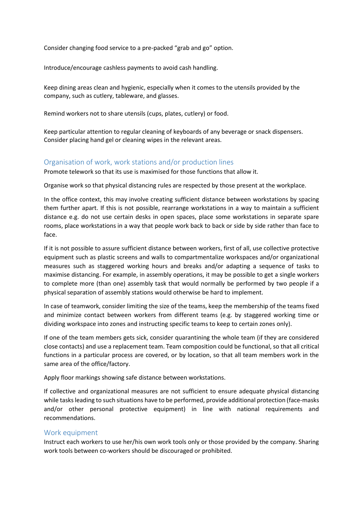Consider changing food service to a pre-packed "grab and go" option.

Introduce/encourage cashless payments to avoid cash handling.

Keep dining areas clean and hygienic, especially when it comes to the utensils provided by the company, such as cutlery, tableware, and glasses.

Remind workers not to share utensils (cups, plates, cutlery) or food.

Keep particular attention to regular cleaning of keyboards of any beverage or snack dispensers. Consider placing hand gel or cleaning wipes in the relevant areas.

### <span id="page-12-0"></span>Organisation of work, work stations and/or production lines

Promote telework so that its use is maximised for those functions that allow it.

Organise work so that physical distancing rules are respected by those present at the workplace.

In the office context, this may involve creating sufficient distance between workstations by spacing them further apart. If this is not possible, rearrange workstations in a way to maintain a sufficient distance e.g. do not use certain desks in open spaces, place some workstations in separate spare rooms, place workstations in a way that people work back to back or side by side rather than face to face.

If it is not possible to assure sufficient distance between workers, first of all, use collective protective equipment such as plastic screens and walls to compartmentalize workspaces and/or organizational measures such as staggered working hours and breaks and/or adapting a sequence of tasks to maximise distancing. For example, in assembly operations, it may be possible to get a single workers to complete more (than one) assembly task that would normally be performed by two people if a physical separation of assembly stations would otherwise be hard to implement.

In case of teamwork, consider limiting the size of the teams, keep the membership of the teams fixed and minimize contact between workers from different teams (e.g. by staggered working time or dividing workspace into zones and instructing specific teams to keep to certain zones only).

If one of the team members gets sick, consider quarantining the whole team (if they are considered close contacts) and use a replacement team. Team composition could be functional, so that all critical functions in a particular process are covered, or by location, so that all team members work in the same area of the office/factory.

Apply floor markings showing safe distance between workstations.

If collective and organizational measures are not sufficient to ensure adequate physical distancing while tasks leading to such situations have to be performed, provide additional protection (face-masks and/or other personal protective equipment) in line with national requirements and recommendations.

### <span id="page-12-1"></span>Work equipment

Instruct each workers to use her/his own work tools only or those provided by the company. Sharing work tools between co-workers should be discouraged or prohibited.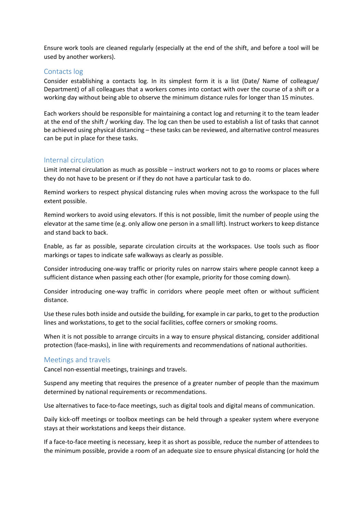Ensure work tools are cleaned regularly (especially at the end of the shift, and before a tool will be used by another workers).

### <span id="page-13-0"></span>Contacts log

Consider establishing a contacts log. In its simplest form it is a list (Date/ Name of colleague/ Department) of all colleagues that a workers comes into contact with over the course of a shift or a working day without being able to observe the minimum distance rules for longer than 15 minutes.

Each workers should be responsible for maintaining a contact log and returning it to the team leader at the end of the shift / working day. The log can then be used to establish a list of tasks that cannot be achieved using physical distancing – these tasks can be reviewed, and alternative control measures can be put in place for these tasks.

#### <span id="page-13-1"></span>Internal circulation

Limit internal circulation as much as possible – instruct workers not to go to rooms or places where they do not have to be present or if they do not have a particular task to do.

Remind workers to respect physical distancing rules when moving across the workspace to the full extent possible.

Remind workers to avoid using elevators. If this is not possible, limit the number of people using the elevator at the same time (e.g. only allow one person in a small lift). Instruct workers to keep distance and stand back to back.

Enable, as far as possible, separate circulation circuits at the workspaces. Use tools such as floor markings or tapes to indicate safe walkways as clearly as possible.

Consider introducing one-way traffic or priority rules on narrow stairs where people cannot keep a sufficient distance when passing each other (for example, priority for those coming down).

Consider introducing one-way traffic in corridors where people meet often or without sufficient distance.

Use these rules both inside and outside the building, for example in car parks, to get to the production lines and workstations, to get to the social facilities, coffee corners or smoking rooms.

When it is not possible to arrange circuits in a way to ensure physical distancing, consider additional protection (face-masks), in line with requirements and recommendations of national authorities.

#### <span id="page-13-2"></span>Meetings and travels

Cancel non-essential meetings, trainings and travels.

Suspend any meeting that requires the presence of a greater number of people than the maximum determined by national requirements or recommendations.

Use alternatives to face-to-face meetings, such as digital tools and digital means of communication.

Daily kick-off meetings or toolbox meetings can be held through a speaker system where everyone stays at their workstations and keeps their distance.

If a face-to-face meeting is necessary, keep it as short as possible, reduce the number of attendees to the minimum possible, provide a room of an adequate size to ensure physical distancing (or hold the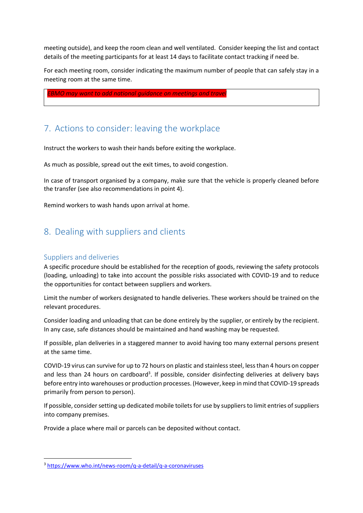meeting outside), and keep the room clean and well ventilated. Consider keeping the list and contact details of the meeting participants for at least 14 days to facilitate contact tracking if need be.

For each meeting room, consider indicating the maximum number of people that can safely stay in a meeting room at the same time.

*EBMO may want to add national guidance on meetings and travel*

# <span id="page-14-0"></span>7. Actions to consider: leaving the workplace

Instruct the workers to wash their hands before exiting the workplace.

As much as possible, spread out the exit times, to avoid congestion.

In case of transport organised by a company, make sure that the vehicle is properly cleaned before the transfer (see also recommendations in point 4).

Remind workers to wash hands upon arrival at home.

# <span id="page-14-1"></span>8. Dealing with suppliers and clients

### <span id="page-14-2"></span>Suppliers and deliveries

**.** 

A specific procedure should be established for the reception of goods, reviewing the safety protocols (loading, unloading) to take into account the possible risks associated with COVID-19 and to reduce the opportunities for contact between suppliers and workers.

Limit the number of workers designated to handle deliveries. These workers should be trained on the relevant procedures.

Consider loading and unloading that can be done entirely by the supplier, or entirely by the recipient. In any case, safe distances should be maintained and hand washing may be requested.

If possible, plan deliveries in a staggered manner to avoid having too many external persons present at the same time.

COVID-19 virus can survive for up to 72 hours on plastic and stainless steel, less than 4 hours on copper and less than 24 hours on cardboard<sup>3</sup>. If possible, consider disinfecting deliveries at delivery bays before entry into warehouses or production processes. (However, keep in mind that COVID-19 spreads primarily from person to person).

If possible, consider setting up dedicated mobile toilets for use by suppliers to limit entries of suppliers into company premises.

Provide a place where mail or parcels can be deposited without contact.

<sup>3</sup> <https://www.who.int/news-room/q-a-detail/q-a-coronaviruses>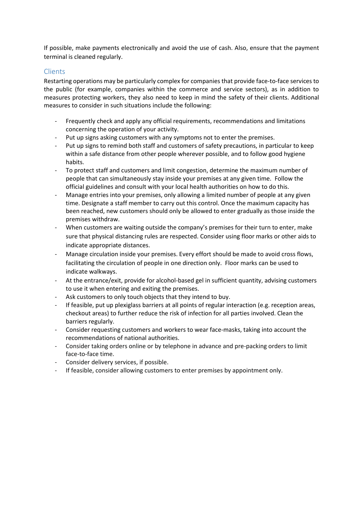If possible, make payments electronically and avoid the use of cash. Also, ensure that the payment terminal is cleaned regularly.

### <span id="page-15-0"></span>Clients

Restarting operations may be particularly complex for companies that provide face-to-face services to the public (for example, companies within the commerce and service sectors), as in addition to measures protecting workers, they also need to keep in mind the safety of their clients. Additional measures to consider in such situations include the following:

- Frequently check and apply any official requirements, recommendations and limitations concerning the operation of your activity.
- Put up signs asking customers with any symptoms not to enter the premises.
- Put up signs to remind both staff and customers of safety precautions, in particular to keep within a safe distance from other people wherever possible, and to follow good hygiene habits.
- To protect staff and customers and limit congestion, determine the maximum number of people that can simultaneously stay inside your premises at any given time. Follow the official guidelines and consult with your local health authorities on how to do this.
- Manage entries into your premises, only allowing a limited number of people at any given time. Designate a staff member to carry out this control. Once the maximum capacity has been reached, new customers should only be allowed to enter gradually as those inside the premises withdraw.
- When customers are waiting outside the company's premises for their turn to enter, make sure that physical distancing rules are respected. Consider using floor marks or other aids to indicate appropriate distances.
- Manage circulation inside your premises. Every effort should be made to avoid cross flows, facilitating the circulation of people in one direction only. Floor marks can be used to indicate walkways.
- At the entrance/exit, provide for alcohol-based gel in sufficient quantity, advising customers to use it when entering and exiting the premises.
- Ask customers to only touch objects that they intend to buy.
- If feasible, put up plexiglass barriers at all points of regular interaction (e.g. reception areas, checkout areas) to further reduce the risk of infection for all parties involved. Clean the barriers regularly.
- Consider requesting customers and workers to wear face-masks, taking into account the recommendations of national authorities.
- Consider taking orders online or by telephone in advance and pre-packing orders to limit face-to-face time.
- Consider delivery services, if possible.
- If feasible, consider allowing customers to enter premises by appointment only.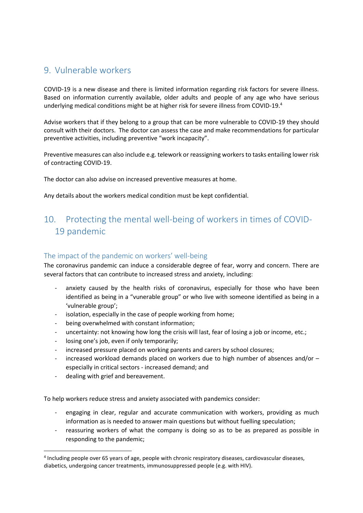# <span id="page-16-0"></span>9. Vulnerable workers

COVID-19 is a new disease and there is limited information regarding risk factors for severe illness. Based on information currently available, older adults and people of any age who have serious underlying medical conditions might be at higher risk for severe illness from COVID-19.<sup>4</sup>

Advise workers that if they belong to a group that can be more vulnerable to COVID-19 they should consult with their doctors. The doctor can assess the case and make recommendations for particular preventive activities, including preventive "work incapacity".

Preventive measures can also include e.g. telework or reassigning workers to tasks entailing lower risk of contracting COVID-19.

The doctor can also advise on increased preventive measures at home.

Any details about the workers medical condition must be kept confidential.

# <span id="page-16-1"></span>10. Protecting the mental well-being of workers in times of COVID-19 pandemic

### <span id="page-16-2"></span>The impact of the pandemic on workers' well-being

The coronavirus pandemic can induce a considerable degree of fear, worry and concern. There are several factors that can contribute to increased stress and anxiety, including:

- anxiety caused by the health risks of coronavirus, especially for those who have been identified as being in a "vunerable group" or who live with someone identified as being in a 'vulnerable group';
- isolation, especially in the case of people working from home;
- being overwhelmed with constant information;
- uncertainty: not knowing how long the crisis will last, fear of losing a job or income, etc.;
- losing one's job, even if only temporarily;
- increased pressure placed on working parents and carers by school closures;
- increased workload demands placed on workers due to high number of absences and/or  $$ especially in critical sectors - increased demand; and
- dealing with grief and bereavement.

1

To help workers reduce stress and anxiety associated with pandemics consider:

- engaging in clear, regular and accurate communication with workers, providing as much information as is needed to answer main questions but without fuelling speculation;
- reassuring workers of what the company is doing so as to be as prepared as possible in responding to the pandemic;

<sup>4</sup> Including people over 65 years of age, people with chronic respiratory diseases, cardiovascular diseases, diabetics, undergoing cancer treatments, immunosuppressed people (e.g. with HIV).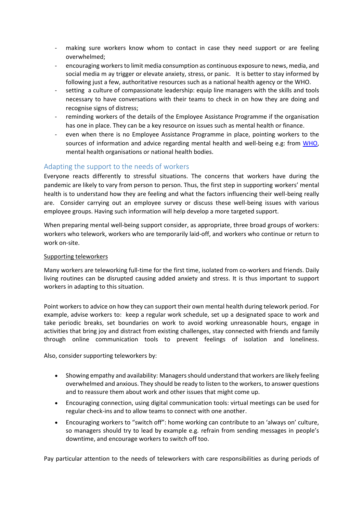- making sure workers know whom to contact in case they need support or are feeling overwhelmed;
- encouraging workersto limit media consumption as continuous exposure to news, media, and social media m ay trigger or elevate anxiety, stress, or panic. It is better to stay informed by following just a few, authoritative resources such as a national health agency or the WHO.
- setting a culture of compassionate leadership: equip line managers with the skills and tools necessary to have conversations with their teams to check in on how they are doing and recognise signs of distress;
- reminding workers of the details of the Employee Assistance Programme if the organisation has one in place. They can be a key resource on issues such as mental health or finance.
- even when there is no Employee Assistance Programme in place, pointing workers to the sources of information and advice regarding mental health and well-being e.g: from [WHO,](https://www.who.int/docs/default-source/coronaviruse/mental-health-considerations.pdf) mental health organisations or national health bodies.

# <span id="page-17-0"></span>Adapting the support to the needs of workers

Everyone reacts differently to stressful situations. The concerns that workers have during the pandemic are likely to vary from person to person. Thus, the first step in supporting workers' mental health is to understand how they are feeling and what the factors influencing their well-being really are. Consider carrying out an employee survey or discuss these well-being issues with various employee groups. Having such information will help develop a more targeted support.

When preparing mental well-being support consider, as appropriate, three broad groups of workers: workers who telework, workers who are temporarily laid-off, and workers who continue or return to work on-site.

#### Supporting teleworkers

Many workers are teleworking full-time for the first time, isolated from co-workers and friends. Daily living routines can be disrupted causing added anxiety and stress. It is thus important to support workers in adapting to this situation.

Point workers to advice on how they can support their own mental health during telework period. For example, advise workers to: keep a regular work schedule, set up a designated space to work and take periodic breaks, set boundaries on work to avoid working unreasonable hours, engage in activities that bring joy and distract from existing challenges, stay connected with friends and family through online communication tools to prevent feelings of isolation and loneliness.

Also, consider supporting teleworkers by:

- Showing empathy and availability: Managers should understand that workers are likely feeling overwhelmed and anxious. They should be ready to listen to the workers, to answer questions and to reassure them about work and other issues that might come up.
- Encouraging connection, using digital communication tools: virtual meetings can be used for regular check-ins and to allow teams to connect with one another.
- Encouraging workers to "switch off": home working can contribute to an 'always on' culture, so managers should try to lead by example e.g. refrain from sending messages in people's downtime, and encourage workers to switch off too.

Pay particular attention to the needs of teleworkers with care responsibilities as during periods of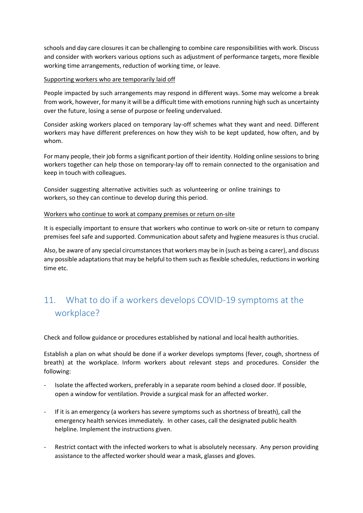schools and day care closures it can be challenging to combine care responsibilities with work. Discuss and consider with workers various options such as adjustment of performance targets, more flexible working time arrangements, reduction of working time, or leave.

#### Supporting workers who are temporarily laid off

People impacted by such arrangements may respond in different ways. Some may welcome a break from work, however, for many it will be a difficult time with emotions running high such as uncertainty over the future, losing a sense of purpose or feeling undervalued.

Consider asking workers placed on temporary lay-off schemes what they want and need. Different workers may have different preferences on how they wish to be kept updated, how often, and by whom.

For many people, their job forms a significant portion of their identity. Holding online sessions to bring workers together can help those on temporary-lay off to remain connected to the organisation and keep in touch with colleagues.

Consider suggesting alternative activities such as volunteering or online trainings to workers, so they can continue to develop during this period.

#### Workers who continue to work at company premises or return on-site

It is especially important to ensure that workers who continue to work on-site or return to company premises feel safe and supported. Communication about safety and hygiene measures is thus crucial.

Also, be aware of any special circumstances that workers may be in (such as being a carer), and discuss any possible adaptations that may be helpful to them such as flexible schedules, reductions in working time etc.

# <span id="page-18-0"></span>11. What to do if a workers develops COVID-19 symptoms at the workplace?

Check and follow guidance or procedures established by national and local health authorities.

Establish a plan on what should be done if a worker develops symptoms (fever, cough, shortness of breath) at the workplace. Inform workers about relevant steps and procedures. Consider the following:

- Isolate the affected workers, preferably in a separate room behind a closed door. If possible, open a window for ventilation. Provide a surgical mask for an affected worker.
- If it is an emergency (a workers has severe symptoms such as shortness of breath), call the emergency health services immediately. In other cases, call the designated public health helpline. Implement the instructions given.
- Restrict contact with the infected workers to what is absolutely necessary. Any person providing assistance to the affected worker should wear a mask, glasses and gloves.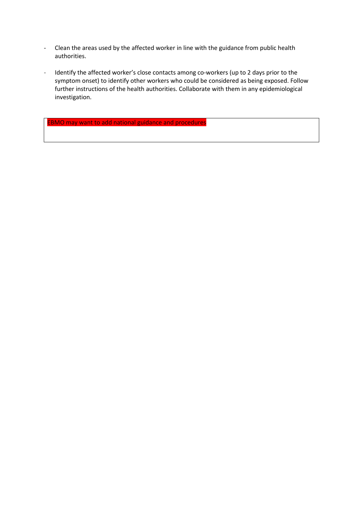- Clean the areas used by the affected worker in line with the guidance from public health authorities.
- Identify the affected worker's close contacts among co-workers (up to 2 days prior to the symptom onset) to identify other workers who could be considered as being exposed. Follow further instructions of the health authorities. Collaborate with them in any epidemiological investigation.

EBMO may want to add national guidance and procedures